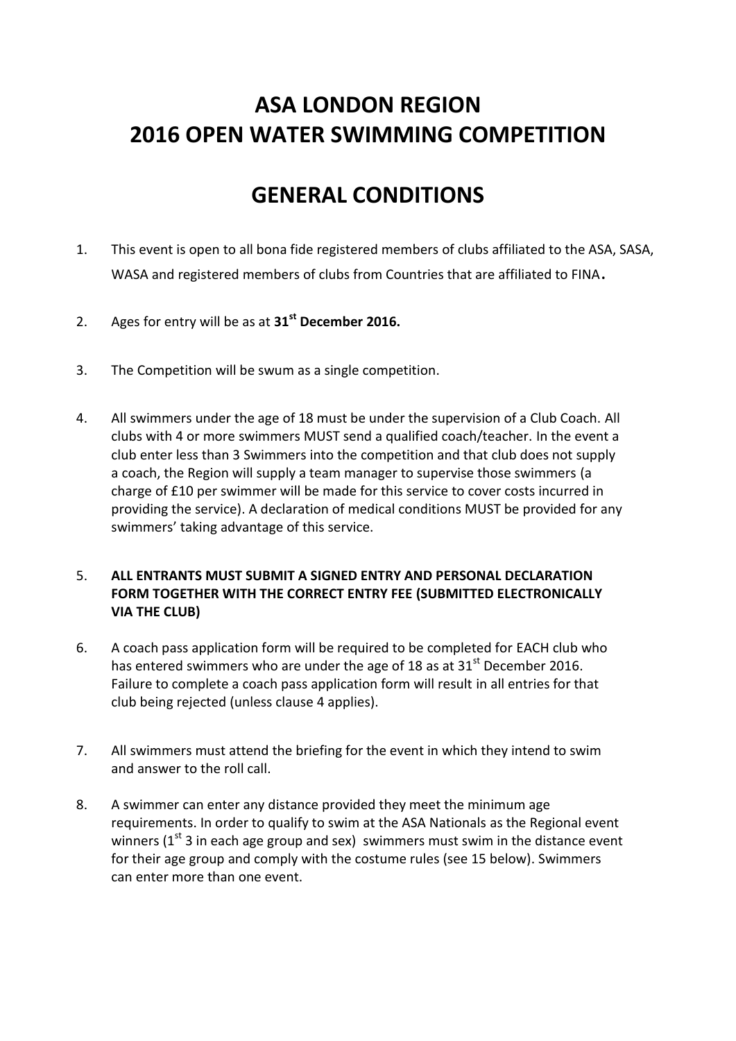## **ASA LONDON REGION 2016 OPEN WATER SWIMMING COMPETITION**

### **GENERAL CONDITIONS**

- 1. This event is open to all bona fide registered members of clubs affiliated to the ASA, SASA, WASA and registered members of clubs from Countries that are affiliated to FINA.
- 2. Ages for entry will be as at **31st December 2016.**
- 3. The Competition will be swum as a single competition.
- 4. All swimmers under the age of 18 must be under the supervision of a Club Coach. All clubs with 4 or more swimmers MUST send a qualified coach/teacher. In the event a club enter less than 3 Swimmers into the competition and that club does not supply a coach, the Region will supply a team manager to supervise those swimmers (a charge of £10 per swimmer will be made for this service to cover costs incurred in providing the service). A declaration of medical conditions MUST be provided for any swimmers' taking advantage of this service.

### 5. **ALL ENTRANTS MUST SUBMIT A SIGNED ENTRY AND PERSONAL DECLARATION FORM TOGETHER WITH THE CORRECT ENTRY FEE (SUBMITTED ELECTRONICALLY VIA THE CLUB)**

- 6. A coach pass application form will be required to be completed for EACH club who has entered swimmers who are under the age of 18 as at 31 $^{\rm st}$  December 2016. Failure to complete a coach pass application form will result in all entries for that club being rejected (unless clause 4 applies).
- 7. All swimmers must attend the briefing for the event in which they intend to swim and answer to the roll call.
- 8. A swimmer can enter any distance provided they meet the minimum age requirements. In order to qualify to swim at the ASA Nationals as the Regional event winners ( $1<sup>st</sup>$  3 in each age group and sex) swimmers must swim in the distance event for their age group and comply with the costume rules (see 15 below). Swimmers can enter more than one event.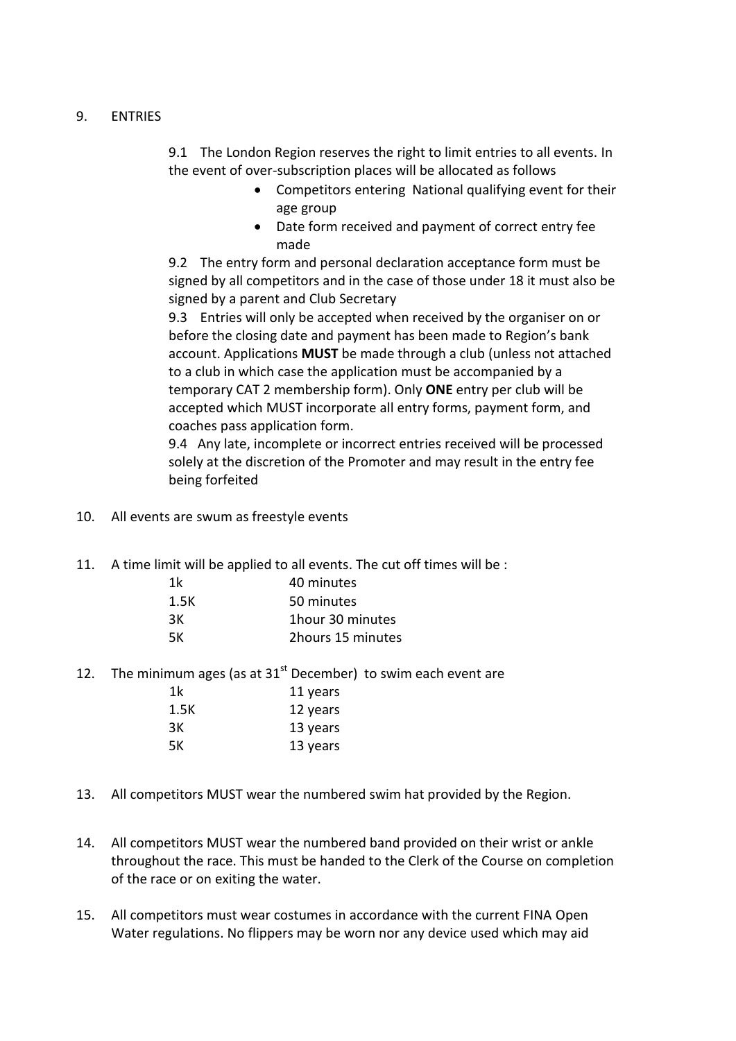### 9. ENTRIES

9.1 The London Region reserves the right to limit entries to all events. In the event of over-subscription places will be allocated as follows

- Competitors entering National qualifying event for their age group
- Date form received and payment of correct entry fee made

9.2 The entry form and personal declaration acceptance form must be signed by all competitors and in the case of those under 18 it must also be signed by a parent and Club Secretary

9.3 Entries will only be accepted when received by the organiser on or before the closing date and payment has been made to Region's bank account. Applications **MUST** be made through a club (unless not attached to a club in which case the application must be accompanied by a temporary CAT 2 membership form). Only **ONE** entry per club will be accepted which MUST incorporate all entry forms, payment form, and coaches pass application form.

9.4 Any late, incomplete or incorrect entries received will be processed solely at the discretion of the Promoter and may result in the entry fee being forfeited

- 10. All events are swum as freestyle events
- 11. A time limit will be applied to all events. The cut off times will be :

| 1k   | 40 minutes        |
|------|-------------------|
| 1.5K | 50 minutes        |
| 3К   | 1 hour 30 minutes |
| 5К   | 2hours 15 minutes |
|      |                   |

12. The minimum ages (as at  $31<sup>st</sup>$  December) to swim each event are 1k 11 years 1.5K 12 years 3K 13 years

5K 13 years

- 13. All competitors MUST wear the numbered swim hat provided by the Region.
- 14. All competitors MUST wear the numbered band provided on their wrist or ankle throughout the race. This must be handed to the Clerk of the Course on completion of the race or on exiting the water.
- 15. All competitors must wear costumes in accordance with the current FINA Open Water regulations. No flippers may be worn nor any device used which may aid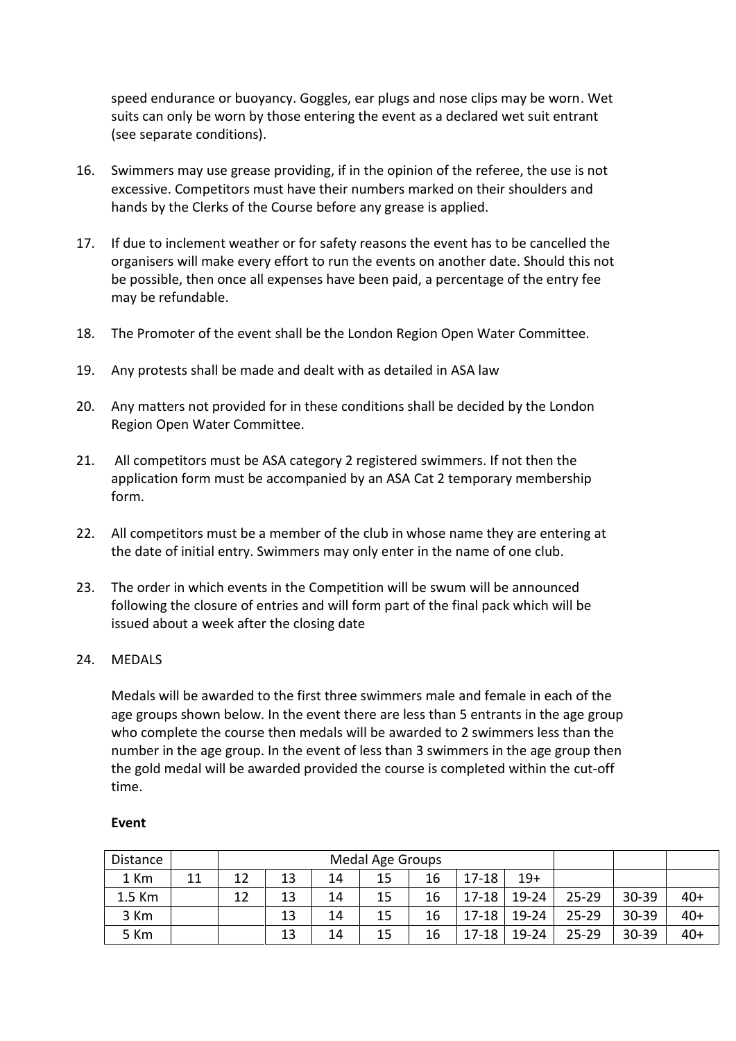speed endurance or buoyancy. Goggles, ear plugs and nose clips may be worn. Wet suits can only be worn by those entering the event as a declared wet suit entrant (see separate conditions).

- 16. Swimmers may use grease providing, if in the opinion of the referee, the use is not excessive. Competitors must have their numbers marked on their shoulders and hands by the Clerks of the Course before any grease is applied.
- 17. If due to inclement weather or for safety reasons the event has to be cancelled the organisers will make every effort to run the events on another date. Should this not be possible, then once all expenses have been paid, a percentage of the entry fee may be refundable.
- 18. The Promoter of the event shall be the London Region Open Water Committee.
- 19. Any protests shall be made and dealt with as detailed in ASA law
- 20. Any matters not provided for in these conditions shall be decided by the London Region Open Water Committee.
- 21. All competitors must be ASA category 2 registered swimmers. If not then the application form must be accompanied by an ASA Cat 2 temporary membership form.
- 22. All competitors must be a member of the club in whose name they are entering at the date of initial entry. Swimmers may only enter in the name of one club.
- 23. The order in which events in the Competition will be swum will be announced following the closure of entries and will form part of the final pack which will be issued about a week after the closing date

#### 24. MEDALS

Medals will be awarded to the first three swimmers male and female in each of the age groups shown below. In the event there are less than 5 entrants in the age group who complete the course then medals will be awarded to 2 swimmers less than the number in the age group. In the event of less than 3 swimmers in the age group then the gold medal will be awarded provided the course is completed within the cut-off time.

| Distance |    | Medal Age Groups |    |    |    |    |           |           |           |       |       |
|----------|----|------------------|----|----|----|----|-----------|-----------|-----------|-------|-------|
| 1 Km     | 11 | 12               | 13 | 14 | 15 | 16 | $17 - 18$ | $19+$     |           |       |       |
| 1.5 Km   |    | 12               | 13 | 14 | 15 | 16 | $17 - 18$ | 19-24     | $25 - 29$ | 30-39 | $40+$ |
| 3 Km     |    |                  | 13 | 14 | 15 | 16 | $17 - 18$ | $19 - 24$ | 25-29     | 30-39 | $40+$ |
| 5 Km     |    |                  | 13 | 14 | 15 | 16 | $17 - 18$ | $19 - 24$ | $25 - 29$ | 30-39 | $40+$ |

#### **Event**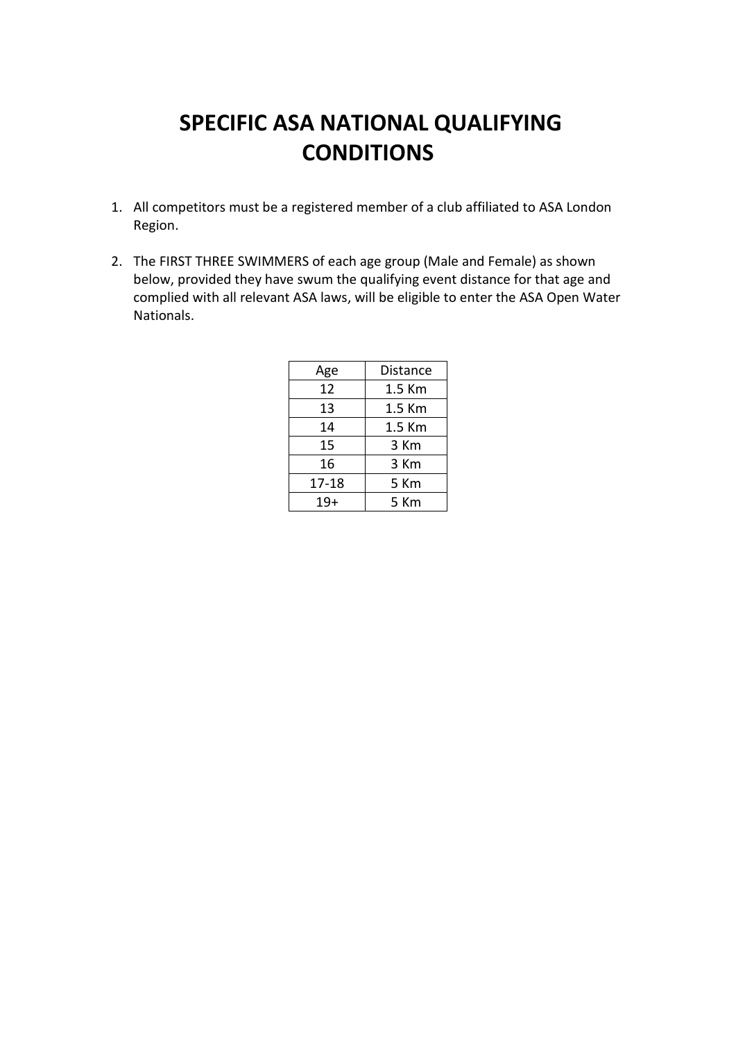## **SPECIFIC ASA NATIONAL QUALIFYING CONDITIONS**

- 1. All competitors must be a registered member of a club affiliated to ASA London Region.
- 2. The FIRST THREE SWIMMERS of each age group (Male and Female) as shown below, provided they have swum the qualifying event distance for that age and complied with all relevant ASA laws, will be eligible to enter the ASA Open Water Nationals.

| Age   | Distance |  |  |  |
|-------|----------|--|--|--|
| 12    | 1.5 Km   |  |  |  |
| 13    | 1.5 Km   |  |  |  |
| 14    | 1.5 Km   |  |  |  |
| 15    | 3 Km     |  |  |  |
| 16    | 3 Km     |  |  |  |
| 17-18 | 5 Km     |  |  |  |
| $19+$ | 5 Km     |  |  |  |